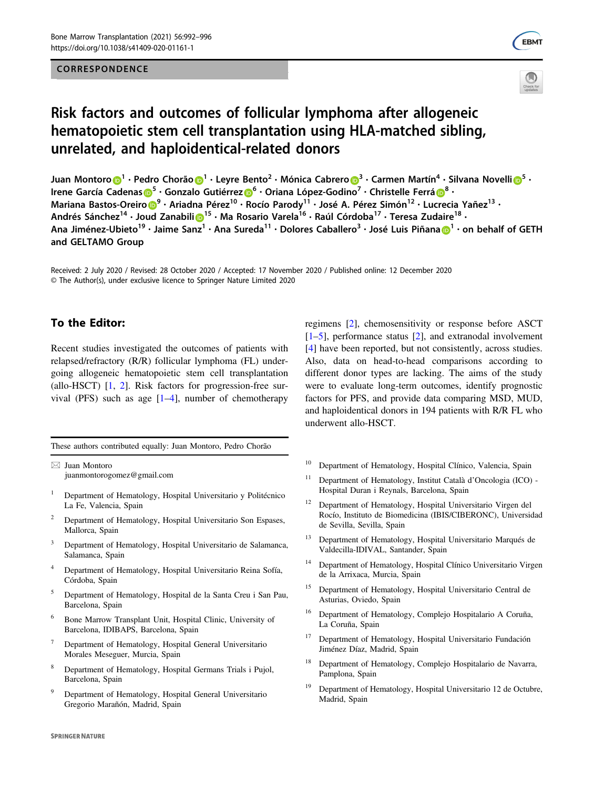### CORRESPONDENCE





# Risk factors and outcomes of follicular lymphoma after allogeneic hematopoietic stem cell transplantation using HLA-matched sibling, unrelated, and haploidentical-related donors

Juan Montoro <mark>D</mark><sup>[1](http://orcid.org/0000-0001-6741-971X)</sup> • Pedr[o](http://orcid.org/0000-0001-7586-4792) Chorão D<sup>1</sup> • Levre Bento<sup>2</sup> • Mónica Cabrero D<sup>[3](http://orcid.org/0000-0001-7586-4792)</sup> • Carmen Martín<sup>4</sup> • Silvana Novelli D<sup>[5](http://orcid.org/0000-0001-8750-0195)</sup> • Irene García Cadenas D<sup>[5](http://orcid.org/0000-0002-2994-9055)</sup> · Gonzalo Gutiérrez D<sup>[6](http://orcid.org/0000-0003-4084-8279)</sup> · Oriana López-Godino<sup>[7](http://orcid.org/0000-0001-7586-4792)</sup> · Christelle Ferrá D<sup>[8](http://orcid.org/0000-0003-4571-5125)</sup> · Mariana Bast[o](http://orcid.org/0000-0002-2994-9055)s-Oreiro D<sup>[9](http://orcid.org/0000-0002-9431-4646)</sup> · Ariadna Pérez<sup>10</sup> · [Ro](http://orcid.org/0000-0003-4084-8279)cío Parody<sup>11</sup> · José A. Pérez Simón<sup>12</sup> · Lu[cre](http://orcid.org/0000-0003-4571-5125)cia Yañez<sup>13</sup> · Andrés Sánchez<sup>14</sup> • Jo[ud](http://orcid.org/0000-0002-9431-4646) Zanabili D<sup>[1](http://orcid.org/0000-0001-7783-4642)5</sup> • Ma Rosario Varela<sup>16</sup> • Raúl Córdoba<sup>17</sup> • Teresa Zudaire<sup>18</sup> • Ana Jiménez-Ubieto<sup>[1](http://orcid.org/0000-0001-8533-2562)9</sup> · Jaime Sanz<sup>1</sup> · Ana Sureda<sup>11</sup> · Dolores Caballero<sup>3</sup> · José Luis Piñana n<sup>1</sup> · on behalf of GETH and GELTAMO Group

Received: 2 July 2020 / Revised: 28 October 2020 / Accepted: 17 November 2020 / Published online: 12 December 2020 © The Author(s), under exclusive licence to Springer Nature Limited 2020

## To the Editor:

Recent studies investigated the outcomes of patients with relapsed/refractory (R/R) follicular lymphoma (FL) undergoing allogeneic hematopoietic stem cell transplantation (allo-HSCT)  $[1, 2]$  $[1, 2]$  $[1, 2]$  $[1, 2]$ . Risk factors for progression-free survival (PFS) such as age  $[1-4]$  $[1-4]$  $[1-4]$  $[1-4]$ , number of chemotherapy

These authors contributed equally: Juan Montoro, Pedro Chorão

 $\boxtimes$  Juan Montoro [juanmontorogomez@gmail.com](mailto:juanmontorogomez@gmail.com)

- <sup>1</sup> Department of Hematology, Hospital Universitario y Politécnico La Fe, Valencia, Spain
- <sup>2</sup> Department of Hematology, Hospital Universitario Son Espases, Mallorca, Spain
- <sup>3</sup> Department of Hematology, Hospital Universitario de Salamanca, Salamanca, Spain
- <sup>4</sup> Department of Hematology, Hospital Universitario Reina Sofía, Córdoba, Spain
- <sup>5</sup> Department of Hematology, Hospital de la Santa Creu i San Pau, Barcelona, Spain
- <sup>6</sup> Bone Marrow Transplant Unit, Hospital Clinic, University of Barcelona, IDIBAPS, Barcelona, Spain
- <sup>7</sup> Department of Hematology, Hospital General Universitario Morales Meseguer, Murcia, Spain
- <sup>8</sup> Department of Hematology, Hospital Germans Trials i Pujol, Barcelona, Spain
- <sup>9</sup> Department of Hematology, Hospital General Universitario Gregorio Marañón, Madrid, Spain

regimens [\[2](#page-4-0)], chemosensitivity or response before ASCT [\[1](#page-4-0)–[5](#page-4-0)], performance status [[2\]](#page-4-0), and extranodal involvement [\[4](#page-4-0)] have been reported, but not consistently, across studies. Also, data on head-to-head comparisons according to different donor types are lacking. The aims of the study were to evaluate long-term outcomes, identify prognostic factors for PFS, and provide data comparing MSD, MUD, and haploidentical donors in 194 patients with R/R FL who underwent allo-HSCT.

- <sup>10</sup> Department of Hematology, Hospital Clínico, Valencia, Spain
- <sup>11</sup> Department of Hematology, Institut Català d'Oncologia (ICO) Hospital Duran i Reynals, Barcelona, Spain
- <sup>12</sup> Department of Hematology, Hospital Universitario Virgen del Rocío, Instituto de Biomedicina (IBIS/CIBERONC), Universidad de Sevilla, Sevilla, Spain
- <sup>13</sup> Department of Hematology, Hospital Universitario Marqués de Valdecilla-IDIVAL, Santander, Spain
- Department of Hematology, Hospital Clínico Universitario Virgen de la Arrixaca, Murcia, Spain
- <sup>15</sup> Department of Hematology, Hospital Universitario Central de Asturias, Oviedo, Spain
- <sup>16</sup> Department of Hematology, Complejo Hospitalario A Coruña, La Coruña, Spain
- <sup>17</sup> Department of Hematology, Hospital Universitario Fundación Jiménez Díaz, Madrid, Spain
- Department of Hematology, Complejo Hospitalario de Navarra, Pamplona, Spain
- <sup>19</sup> Department of Hematology, Hospital Universitario 12 de Octubre, Madrid, Spain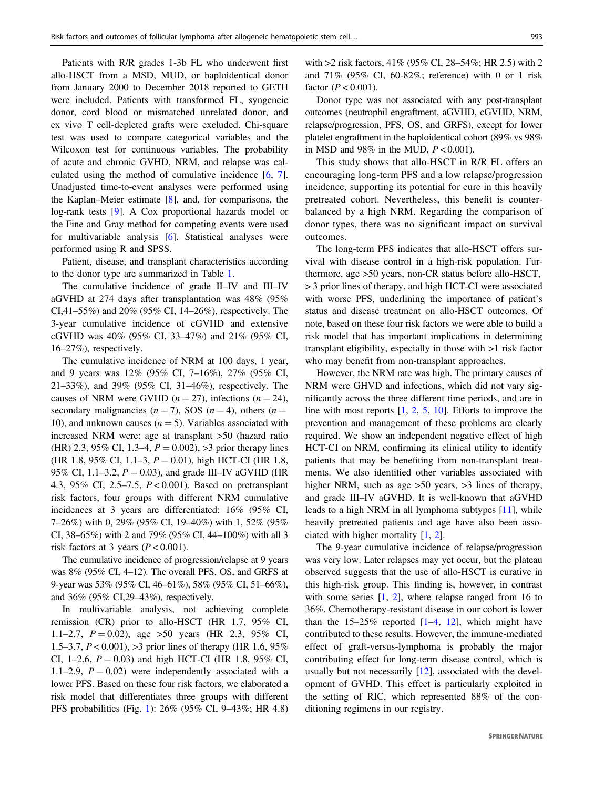Patients with R/R grades 1-3b FL who underwent first allo-HSCT from a MSD, MUD, or haploidentical donor from January 2000 to December 2018 reported to GETH were included. Patients with transformed FL, syngeneic donor, cord blood or mismatched unrelated donor, and ex vivo T cell-depleted grafts were excluded. Chi-square test was used to compare categorical variables and the Wilcoxon test for continuous variables. The probability of acute and chronic GVHD, NRM, and relapse was calculated using the method of cumulative incidence [[6,](#page-4-0) [7](#page-4-0)]. Unadjusted time-to-event analyses were performed using the Kaplan–Meier estimate [[8\]](#page-4-0), and, for comparisons, the log-rank tests [[9\]](#page-4-0). A Cox proportional hazards model or the Fine and Gray method for competing events were used for multivariable analysis [[6\]](#page-4-0). Statistical analyses were performed using R and SPSS.

Patient, disease, and transplant characteristics according to the donor type are summarized in Table [1.](#page-2-0)

The cumulative incidence of grade II–IV and III–IV aGVHD at 274 days after transplantation was 48% (95% CI,41–55%) and 20% (95% CI, 14–26%), respectively. The 3-year cumulative incidence of cGVHD and extensive cGVHD was 40% (95% CI, 33–47%) and 21% (95% CI, 16–27%), respectively.

The cumulative incidence of NRM at 100 days, 1 year, and 9 years was 12% (95% CI, 7–16%), 27% (95% CI, 21–33%), and 39% (95% CI, 31–46%), respectively. The causes of NRM were GVHD ( $n = 27$ ), infections ( $n = 24$ ), secondary malignancies ( $n = 7$ ), SOS ( $n = 4$ ), others ( $n =$ 10), and unknown causes ( $n = 5$ ). Variables associated with increased NRM were: age at transplant >50 (hazard ratio (HR) 2.3, 95% CI, 1.3–4,  $P = 0.002$ ), >3 prior therapy lines (HR 1.8, 95% CI, 1.1–3,  $P = 0.01$ ), high HCT-CI (HR 1.8, 95% CI, 1.1–3.2,  $P = 0.03$ ), and grade III–IV aGVHD (HR 4.3, 95% CI, 2.5–7.5,  $P < 0.001$ ). Based on pretransplant risk factors, four groups with different NRM cumulative incidences at 3 years are differentiated: 16% (95% CI, 7–26%) with 0, 29% (95% CI, 19–40%) with 1, 52% (95% CI, 38–65%) with 2 and 79% (95% CI, 44–100%) with all 3 risk factors at 3 years ( $P < 0.001$ ).

The cumulative incidence of progression/relapse at 9 years was 8% (95% CI, 4–12). The overall PFS, OS, and GRFS at 9-year was 53% (95% CI, 46–61%), 58% (95% CI, 51–66%), and 36% (95% CI,29–43%), respectively.

In multivariable analysis, not achieving complete remission (CR) prior to allo-HSCT (HR 1.7, 95% CI, 1.1–2.7,  $P = 0.02$ ), age > 50 years (HR 2.3, 95% CI, 1.5–3.7, P < 0.001), >3 prior lines of therapy (HR 1.6, 95% CI, 1–2.6,  $P = 0.03$ ) and high HCT-CI (HR 1.8, 95% CI, 1.1–2.9,  $P = 0.02$ ) were independently associated with a lower PFS. Based on these four risk factors, we elaborated a risk model that differentiates three groups with different PFS probabilities (Fig. [1\)](#page-4-0): 26% (95% CI, 9–43%; HR 4.8)

with >2 risk factors, 41% (95% CI, 28–54%; HR 2.5) with 2 and 71% (95% CI, 60-82%; reference) with 0 or 1 risk factor ( $P < 0.001$ ).

Donor type was not associated with any post-transplant outcomes (neutrophil engraftment, aGVHD, cGVHD, NRM, relapse/progression, PFS, OS, and GRFS), except for lower platelet engraftment in the haploidentical cohort (89% vs 98% in MSD and 98% in the MUD,  $P < 0.001$ ).

This study shows that allo-HSCT in R/R FL offers an encouraging long-term PFS and a low relapse/progression incidence, supporting its potential for cure in this heavily pretreated cohort. Nevertheless, this benefit is counterbalanced by a high NRM. Regarding the comparison of donor types, there was no significant impact on survival outcomes.

The long-term PFS indicates that allo-HSCT offers survival with disease control in a high-risk population. Furthermore, age >50 years, non-CR status before allo-HSCT, > 3 prior lines of therapy, and high HCT-CI were associated with worse PFS, underlining the importance of patient's status and disease treatment on allo-HSCT outcomes. Of note, based on these four risk factors we were able to build a risk model that has important implications in determining transplant eligibility, especially in those with >1 risk factor who may benefit from non-transplant approaches.

However, the NRM rate was high. The primary causes of NRM were GHVD and infections, which did not vary significantly across the three different time periods, and are in line with most reports  $[1, 2, 5, 10]$  $[1, 2, 5, 10]$  $[1, 2, 5, 10]$  $[1, 2, 5, 10]$  $[1, 2, 5, 10]$  $[1, 2, 5, 10]$  $[1, 2, 5, 10]$ . Efforts to improve the prevention and management of these problems are clearly required. We show an independent negative effect of high HCT-CI on NRM, confirming its clinical utility to identify patients that may be benefiting from non-transplant treatments. We also identified other variables associated with higher NRM, such as age  $>50$  years,  $>3$  lines of therapy, and grade III–IV aGVHD. It is well-known that aGVHD leads to a high NRM in all lymphoma subtypes [[11\]](#page-4-0), while heavily pretreated patients and age have also been associated with higher mortality [\[1](#page-4-0), [2\]](#page-4-0).

The 9-year cumulative incidence of relapse/progression was very low. Later relapses may yet occur, but the plateau observed suggests that the use of allo-HSCT is curative in this high-risk group. This finding is, however, in contrast with some series  $[1, 2]$  $[1, 2]$  $[1, 2]$ , where relapse ranged from 16 to 36%. Chemotherapy-resistant disease in our cohort is lower than the  $15-25\%$  $15-25\%$  reported  $[1-4, 12]$  $[1-4, 12]$  $[1-4, 12]$  $[1-4, 12]$  $[1-4, 12]$ , which might have contributed to these results. However, the immune-mediated effect of graft-versus-lymphoma is probably the major contributing effect for long-term disease control, which is usually but not necessarily [\[12](#page-4-0)], associated with the development of GVHD. This effect is particularly exploited in the setting of RIC, which represented 88% of the conditioning regimens in our registry.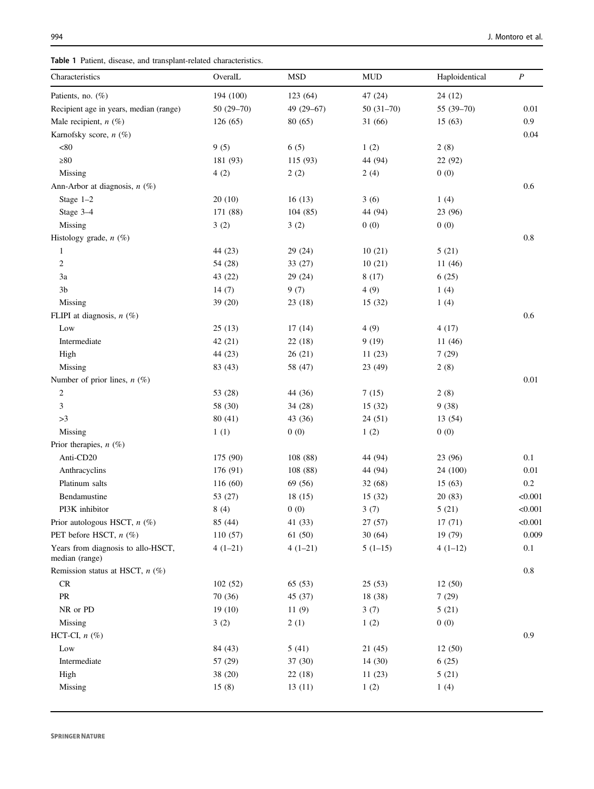<span id="page-2-0"></span>

| Characteristics                                      | OveralL     | <b>MSD</b> | <b>MUD</b>  | Haploidentical | $\boldsymbol{P}$ |
|------------------------------------------------------|-------------|------------|-------------|----------------|------------------|
| Patients, no. (%)                                    | 194 (100)   | 123 (64)   | 47 (24)     | 24(12)         |                  |
| Recipient age in years, median (range)               | $50(29-70)$ | 49 (29-67) | $50(31-70)$ | 55 (39-70)     | 0.01             |
| Male recipient, $n$ (%)                              | 126(65)     | 80 (65)    | 31(66)      | 15(63)         | 0.9              |
| Karnofsky score, n (%)                               |             |            |             |                | 0.04             |
| $<\!\!80$                                            | 9(5)        | 6(5)       | 1(2)        | 2(8)           |                  |
| $\geq 80$                                            | 181 (93)    | 115 (93)   | 44 (94)     | 22 (92)        |                  |
| Missing                                              | 4(2)        | 2(2)       | 2(4)        | 0(0)           |                  |
| Ann-Arbor at diagnosis, $n$ (%)                      |             |            |             |                | 0.6              |
| Stage $1-2$                                          | 20(10)      | 16(13)     | 3(6)        | 1(4)           |                  |
| Stage 3-4                                            | 171 (88)    | 104(85)    | 44 (94)     | 23 (96)        |                  |
| Missing                                              | 3(2)        | 3(2)       | 0(0)        | 0(0)           |                  |
| Histology grade, $n$ (%)                             |             |            |             |                | $0.8\,$          |
| 1                                                    | 44 (23)     | 29 (24)    | 10(21)      | 5(21)          |                  |
| $\boldsymbol{2}$                                     | 54 (28)     | 33 (27)    | 10(21)      | 11(46)         |                  |
| 3a                                                   | 43 (22)     | 29 (24)    | 8(17)       | 6(25)          |                  |
| 3 <sub>b</sub>                                       | 14(7)       | 9(7)       | 4(9)        | 1(4)           |                  |
| Missing                                              | 39 (20)     | 23(18)     | 15(32)      | 1(4)           |                  |
| FLIPI at diagnosis, $n$ (%)                          |             |            |             |                | 0.6              |
| Low                                                  | 25(13)      | 17(14)     | 4(9)        | 4(17)          |                  |
| Intermediate                                         | 42(21)      | 22(18)     | 9(19)       | 11 (46)        |                  |
| High                                                 | 44 (23)     | 26(21)     | 11(23)      | 7(29)          |                  |
| Missing                                              | 83 (43)     | 58 (47)    | 23 (49)     | 2(8)           |                  |
| Number of prior lines, $n$ (%)                       |             |            |             |                | 0.01             |
| 2                                                    | 53 (28)     | 44 (36)    | 7(15)       | 2(8)           |                  |
| 3                                                    | 58 (30)     | 34 (28)    | 15(32)      | 9(38)          |                  |
| >3                                                   | 80(41)      | 43 (36)    | 24(51)      | 13 (54)        |                  |
| Missing                                              | 1(1)        | 0(0)       | 1(2)        | 0(0)           |                  |
| Prior therapies, $n$ (%)                             |             |            |             |                |                  |
| Anti-CD20                                            | 175 (90)    | 108 (88)   | 44 (94)     | 23 (96)        | 0.1              |
| Anthracyclins                                        | 176 (91)    | 108 (88)   | 44 (94)     | 24 (100)       | 0.01             |
| Platinum salts                                       | 116 (60)    | 69 (56)    | 32(68)      | 15(63)         | $0.2\,$          |
| Bendamustine                                         | 53 (27)     | 18(15)     | 15(32)      | 20(83)         | < 0.001          |
| PI3K inhibitor                                       | 8(4)        | 0(0)       | 3(7)        | 5(21)          | < 0.001          |
| Prior autologous HSCT, n (%)                         | 85 (44)     | 41 (33)    | 27(57)      | 17(71)         | < 0.001          |
| PET before HSCT, n (%)                               | 110(57)     | 61 (50)    | 30(64)      | 19 (79)        | 0.009            |
| Years from diagnosis to allo-HSCT,<br>median (range) | $4(1-21)$   | $4(1-21)$  | $5(1-15)$   | $4(1-12)$      | 0.1              |
| Remission status at HSCT, $n$ (%)                    |             |            |             |                | 0.8              |
| CR                                                   | 102(52)     | 65 (53)    | 25(53)      | 12(50)         |                  |
| PR                                                   | 70 (36)     | 45 (37)    | 18 (38)     | 7(29)          |                  |
| NR or PD                                             | 19(10)      | 11(9)      | 3(7)        | 5(21)          |                  |
| Missing                                              | 3(2)        | 2(1)       | 1(2)        | 0(0)           |                  |
| HCT-CI, $n$ (%)                                      |             |            |             |                | 0.9              |
| Low                                                  | 84 (43)     | 5(41)      | 21(45)      | 12(50)         |                  |
| Intermediate                                         | 57 (29)     | 37 (30)    | 14(30)      | 6(25)          |                  |
| High                                                 | 38 (20)     | 22 (18)    | 11(23)      | 5(21)          |                  |
| Missing                                              | 15(8)       | 13(11)     | 1(2)        | 1(4)           |                  |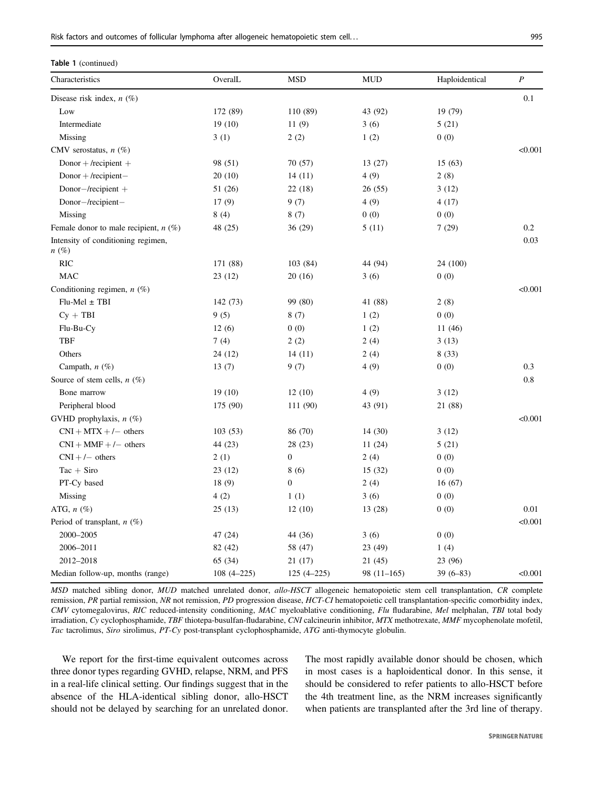| Table 1 (continued)                           |                |                  |              |                |                  |  |  |  |
|-----------------------------------------------|----------------|------------------|--------------|----------------|------------------|--|--|--|
| Characteristics                               | OveralL        | <b>MSD</b>       | <b>MUD</b>   | Haploidentical | $\boldsymbol{P}$ |  |  |  |
| Disease risk index, $n$ (%)                   |                |                  |              |                | 0.1              |  |  |  |
| Low                                           | 172 (89)       | 110 (89)         | 43 (92)      | 19 (79)        |                  |  |  |  |
| Intermediate                                  | 19(10)         | 11(9)            | 3(6)         | 5(21)          |                  |  |  |  |
| Missing                                       | 3(1)           | 2(2)             | 1(2)         | 0(0)           |                  |  |  |  |
| CMV serostatus, $n$ (%)                       |                |                  |              |                | < 0.001          |  |  |  |
| Donor + /recipient +                          | 98 (51)        | 70 (57)          | 13(27)       | 15(63)         |                  |  |  |  |
| $Donor + / recipient -$                       | 20(10)         | 14(11)           | 4(9)         | 2(8)           |                  |  |  |  |
| $Donor$ -/recipient +                         | 51 (26)        | 22(18)           | 26(55)       | 3(12)          |                  |  |  |  |
| Donor-/recipient-                             | 17(9)          | 9(7)             | 4(9)         | 4(17)          |                  |  |  |  |
| Missing                                       | 8(4)           | 8(7)             | 0(0)         | 0(0)           |                  |  |  |  |
| Female donor to male recipient, $n$ (%)       | 48 (25)        | 36(29)           | 5(11)        | 7(29)          | 0.2              |  |  |  |
| Intensity of conditioning regimen,<br>$n(\%)$ |                |                  |              |                | 0.03             |  |  |  |
| <b>RIC</b>                                    | 171 (88)       | 103 (84)         | 44 (94)      | 24 (100)       |                  |  |  |  |
| <b>MAC</b>                                    | 23(12)         | 20(16)           | 3(6)         | 0(0)           |                  |  |  |  |
| Conditioning regimen, $n$ (%)                 |                |                  |              |                | < 0.001          |  |  |  |
| $Flu-Mel \pm TBI$                             | 142 (73)       | 99 (80)          | 41 (88)      | 2(8)           |                  |  |  |  |
| $Cy + TBI$                                    | 9(5)           | 8(7)             | 1(2)         | 0(0)           |                  |  |  |  |
| Flu-Bu-Cy                                     | 12(6)          | 0(0)             | 1(2)         | 11 (46)        |                  |  |  |  |
| <b>TBF</b>                                    | 7(4)           | 2(2)             | 2(4)         | 3(13)          |                  |  |  |  |
| Others                                        | 24 (12)        | 14(11)           | 2(4)         | 8(33)          |                  |  |  |  |
| Campath, $n$ (%)                              | 13(7)          | 9(7)             | 4(9)         | 0(0)           | 0.3              |  |  |  |
| Source of stem cells, $n$ (%)                 |                |                  |              |                | 0.8              |  |  |  |
| Bone marrow                                   | 19(10)         | 12(10)           | 4(9)         | 3(12)          |                  |  |  |  |
| Peripheral blood                              | 175 (90)       | 111 (90)         | 43 (91)      | 21 (88)        |                  |  |  |  |
| GVHD prophylaxis, $n$ (%)                     |                |                  |              |                | < 0.001          |  |  |  |
| $CNI + MTX + /-$ others                       | 103(53)        | 86 (70)          | 14(30)       | 3(12)          |                  |  |  |  |
| $CNI + MMF + /-$ others                       | 44 (23)        | 28 (23)          | 11(24)       | 5(21)          |                  |  |  |  |
| $CNI + / -$ others                            | 2(1)           | $\boldsymbol{0}$ | 2(4)         | 0(0)           |                  |  |  |  |
| $Tac + Siro$                                  | 23(12)         | 8(6)             | 15(32)       | 0(0)           |                  |  |  |  |
| PT-Cy based                                   | 18 (9)         | $\overline{0}$   | 2(4)         | 16(67)         |                  |  |  |  |
| Missing                                       | 4(2)           | 1(1)             | 3(6)         | 0(0)           |                  |  |  |  |
| ATG, $n$ $(\%)$                               | 25(13)         | 12(10)           | 13(28)       | 0(0)           | 0.01             |  |  |  |
| Period of transplant, $n$ (%)                 |                |                  |              |                | < 0.001          |  |  |  |
| 2000-2005                                     | 47 (24)        | 44 (36)          | 3(6)         | 0(0)           |                  |  |  |  |
| 2006-2011                                     | 82 (42)        | 58 (47)          | 23 (49)      | 1(4)           |                  |  |  |  |
| 2012-2018                                     | 65 (34)        | 21 (17)          | 21 (45)      | 23 (96)        |                  |  |  |  |
| Median follow-up, months (range)              | $108(4 - 225)$ | $125(4 - 225)$   | $98(11-165)$ | $39(6 - 83)$   | < 0.001          |  |  |  |

MSD matched sibling donor, MUD matched unrelated donor, allo-HSCT allogeneic hematopoietic stem cell transplantation, CR complete remission, PR partial remission, NR not remission, PD progression disease, HCT-CI hematopoietic cell transplantation-specific comorbidity index, CMV cytomegalovirus, RIC reduced-intensity conditioning, MAC myeloablative conditioning, Flu fludarabine, Mel melphalan, TBI total body irradiation, Cy cyclophosphamide, TBF thiotepa-busulfan-fludarabine, CNI calcineurin inhibitor, MTX methotrexate, MMF mycophenolate mofetil, Tac tacrolimus, Siro sirolimus, PT-Cy post-transplant cyclophosphamide, ATG anti-thymocyte globulin.

We report for the first-time equivalent outcomes across three donor types regarding GVHD, relapse, NRM, and PFS in a real-life clinical setting. Our findings suggest that in the absence of the HLA-identical sibling donor, allo-HSCT should not be delayed by searching for an unrelated donor.

The most rapidly available donor should be chosen, which in most cases is a haploidentical donor. In this sense, it should be considered to refer patients to allo-HSCT before the 4th treatment line, as the NRM increases significantly when patients are transplanted after the 3rd line of therapy.